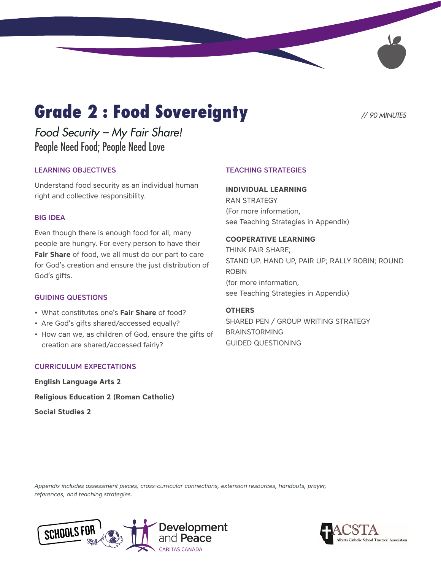# **Grade 2 : Food Sovereignty** // 90 MINUTES

*Food Security – My Fair Share!*  People Need Food; People Need Love

### LEARNING OBJECTIVES

Understand food security as an individual human right and collective responsibility.

#### BIG IDEA

Even though there is enough food for all, many people are hungry. For every person to have their **Fair Share** of food, we all must do our part to care for God's creation and ensure the just distribution of God's gifts.

#### GUIDING QUESTIONS

- What constitutes one's **Fair Share** of food?
- Are God's gifts shared/accessed equally?
- How can we, as children of God, ensure the gifts of creation are shared/accessed fairly?

#### CURRICULUM EXPECTATIONS

**English Language Arts 2 Religious Education 2 (Roman Catholic) Social Studies 2**

#### TEACHING STRATEGIES

#### **INDIVIDUAL LEARNING**

RAN STRATEGY (For more information, see Teaching Strategies in Appendix)

#### **COOPERATIVE LEARNING**

THINK PAIR SHARE; STAND UP. HAND UP, PAIR UP; RALLY ROBIN; ROUND ROBIN (for more information, see Teaching Strategies in Appendix)

#### **OTHERS**

SHARED PEN / GROUP WRITING STRATEGY BRAINSTORMING GUIDED QUESTIONING

*Appendix includes assessment pieces, cross-curricular connections, extension resources, handouts, prayer, references, and teaching strategies.*



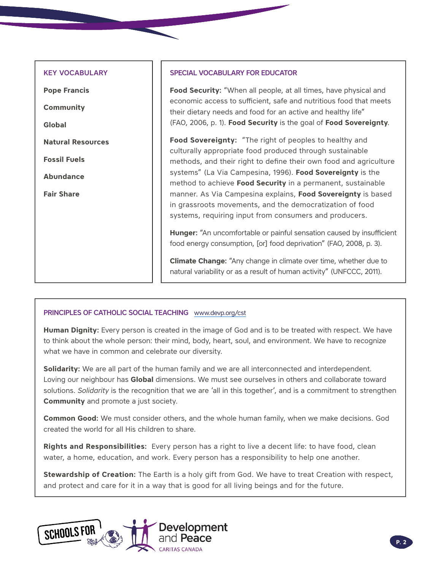#### KEY VOCABULARY

**Pope Francis Community Global Natural Resources Fossil Fuels Abundance Fair Share**

#### SPECIAL VOCABULARY FOR EDUCATOR

**Food Security:** "When all people, at all times, have physical and economic access to sufficient, safe and nutritious food that meets their dietary needs and food for an active and healthy life" (FAO, 2006, p. 1). **Food Security** is the goal of **Food Sovereignty**.

**Food Sovereignty:** "The right of peoples to healthy and culturally appropriate food produced through sustainable methods, and their right to define their own food and agriculture systems" (La Via Campesina, 1996). **Food Sovereignty** is the method to achieve **Food Security** in a permanent, sustainable manner. As Via Campesina explains, **Food Sovereignty** is based in grassroots movements, and the democratization of food systems, requiring input from consumers and producers.

**Hunger:** "An uncomfortable or painful sensation caused by insufficient food energy consumption, [or] food deprivation" (FAO, 2008, p. 3).

**Climate Change:** "Any change in climate over time, whether due to natural variability or as a result of human activity" (UNFCCC, 2011).

#### PRINCIPLES OF CATHOLIC SOCIAL TEACHING [www.devp.org/cst](http://www.devp.org/cst)

**Human Dignity:** Every person is created in the image of God and is to be treated with respect. We have to think about the whole person: their mind, body, heart, soul, and environment. We have to recognize what we have in common and celebrate our diversity.

**Solidarity:** We are all part of the human family and we are all interconnected and interdependent. Loving our neighbour has **Global** dimensions. We must see ourselves in others and collaborate toward solutions. *Solidarity* is the recognition that we are 'all in this together', and is a commitment to strengthen **Community** and promote a just society.

**Common Good:** We must consider others, and the whole human family, when we make decisions. God created the world for all His children to share.

**Rights and Responsibilities:** Every person has a right to live a decent life: to have food, clean water, a home, education, and work. Every person has a responsibility to help one another.

**Stewardship of Creation:** The Earth is a holy gift from God. We have to treat Creation with respect, and protect and care for it in a way that is good for all living beings and for the future.

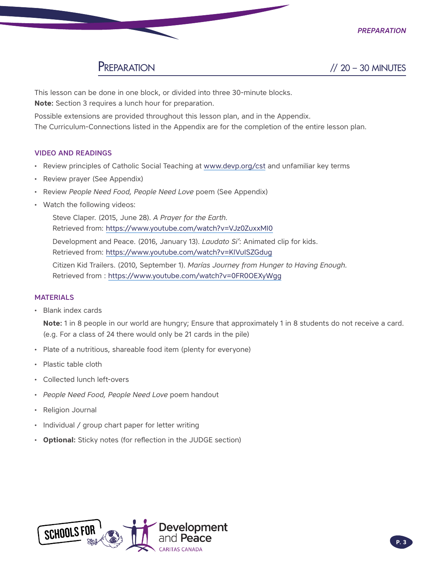

Preparation // 20 – 30 MINUTES

This lesson can be done in one block, or divided into three 30-minute blocks. **Note:** Section 3 requires a lunch hour for preparation.

Possible extensions are provided throughout this lesson plan, and in the Appendix. The Curriculum-Connections listed in the Appendix are for the completion of the entire lesson plan.

#### VIDEO AND READINGS

- Review principles of Catholic Social Teaching at [www.devp.org/cst](http://www.devp.org/cst) and unfamiliar key terms
- Review prayer (See Appendix)
- Review *People Need Food, People Need Love* poem (See Appendix)
- Watch the following videos:

Steve Claper. (2015, June 28). *A Prayer for the Earth.* Retrieved from:<https://www.youtube.com/watch?v=VJz0ZuxxMI0>

Development and Peace. (2016, January 13). *Laudato Si'*: Animated clip for kids. Retrieved from:<https://www.youtube.com/watch?v=KIVuISZGdug>

Citizen Kid Trailers. (2010, September 1). *Marías Journey from Hunger to Having Enough.* Retrieved from :<https://www.youtube.com/watch?v=0FR0OEXyWgg>

#### MATERIALS

• Blank index cards

**Note:** 1 in 8 people in our world are hungry; Ensure that approximately 1 in 8 students do not receive a card. (e.g. For a class of 24 there would only be 21 cards in the pile)

- Plate of a nutritious, shareable food item (plenty for everyone)
- Plastic table cloth
- Collected lunch left-overs
- *People Need Food, People Need Love* poem handout
- Religion Journal
- Individual / group chart paper for letter writing
- **Optional:** Sticky notes (for reflection in the JUDGE section)

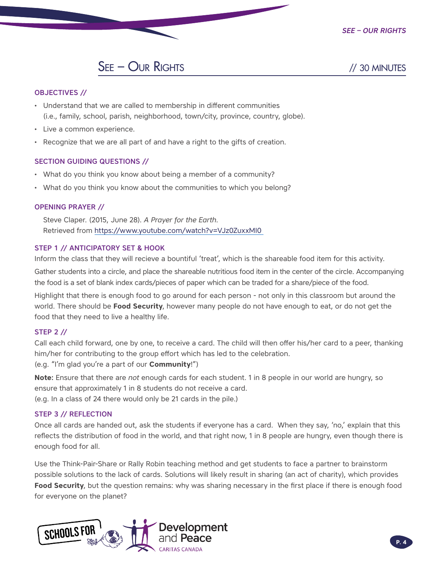

## SEE – OUR RIGHTS // 30 MINUTES

#### OBJECTIVES //

- Understand that we are called to membership in different communities (i.e., family, school, parish, neighborhood, town/city, province, country, globe).
- Live a common experience.
- Recognize that we are all part of and have a right to the gifts of creation.

#### SECTION GUIDING QUESTIONS //

- What do you think you know about being a member of a community?
- What do you think you know about the communities to which you belong?

#### OPENING PRAYER //

Steve Claper. (2015, June 28). *A Prayer for the Earth*. Retrieved from<https://www.youtube.com/watch?v=VJz0ZuxxMI0>

#### STEP 1 // ANTICIPATORY SET & HOOK

Inform the class that they will recieve a bountiful 'treat', which is the shareable food item for this activity.

Gather students into a circle, and place the shareable nutritious food item in the center of the circle. Accompanying the food is a set of blank index cards/pieces of paper which can be traded for a share/piece of the food.

Highlight that there is enough food to go around for each person - not only in this classroom but around the world. There should be **Food Security**, however many people do not have enough to eat, or do not get the food that they need to live a healthy life.

#### STEP 2 //

Call each child forward, one by one, to receive a card. The child will then offer his/her card to a peer, thanking him/her for contributing to the group effort which has led to the celebration.

(e.g. "I'm glad you're a part of our **Community**!")

**Note:** Ensure that there are *not* enough cards for each student. 1 in 8 people in our world are hungry, so ensure that approximately 1 in 8 students do not receive a card.

(e.g. In a class of 24 there would only be 21 cards in the pile.)

#### STEP 3 // REFLECTION

Once all cards are handed out, ask the students if everyone has a card. When they say, 'no,' explain that this reflects the distribution of food in the world, and that right now, 1 in 8 people are hungry, even though there is enough food for all.

Use the Think-Pair-Share or Rally Robin teaching method and get students to face a partner to brainstorm possible solutions to the lack of cards. Solutions will likely result in sharing (an act of charity), which provides **Food Security**, but the question remains: why was sharing necessary in the first place if there is enough food for everyone on the planet?

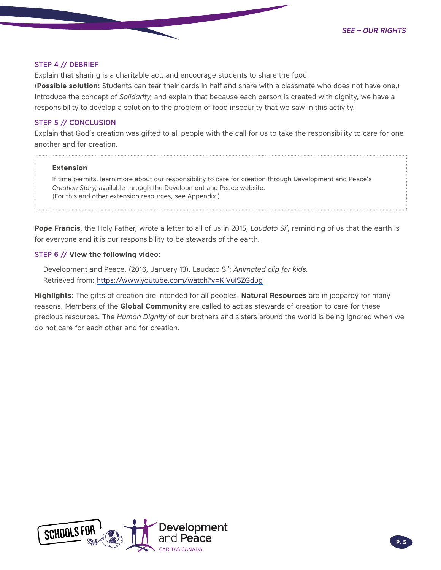#### STEP 4 // DEBRIEF

Explain that sharing is a charitable act, and encourage students to share the food.

(**Possible solution:** Students can tear their cards in half and share with a classmate who does not have one.) Introduce the concept of *Solidarity*, and explain that because each person is created with dignity, we have a responsibility to develop a solution to the problem of food insecurity that we saw in this activity.

#### STEP 5 // CONCLUSION

Explain that God's creation was gifted to all people with the call for us to take the responsibility to care for one another and for creation.

#### **Extension**

If time permits, learn more about our responsibility to care for creation through Development and Peace's *Creation Story*, available through the Development and Peace website. (For this and other extension resources, see Appendix.)

**Pope Francis**, the Holy Father, wrote a letter to all of us in 2015, *Laudato Si'*, reminding of us that the earth is for everyone and it is our responsibility to be stewards of the earth.

#### STEP 6 // **View the following video:**

Development and Peace. (2016, January 13). Laudato Si': *Animated clip for kids*. Retrieved from:<https://www.youtube.com/watch?v=KIVuISZGdug>

**Highlights:** The gifts of creation are intended for all peoples. **Natural Resources** are in jeopardy for many reasons. Members of the **Global Community** are called to act as stewards of creation to care for these precious resources. The *Human Dignity* of our brothers and sisters around the world is being ignored when we do not care for each other and for creation.

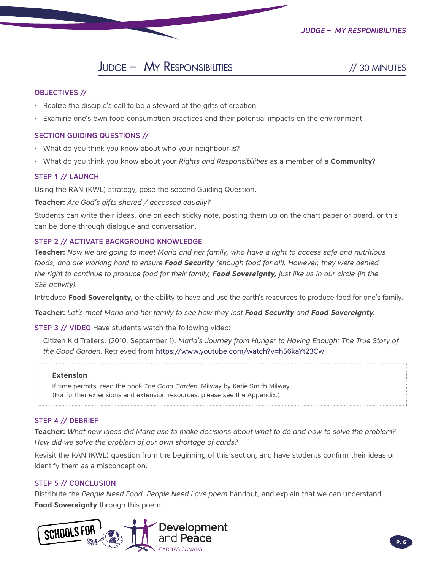*Judge – My Responibilities*

### Judge – My Responsibilities // 30 MINUTES

#### OBJECTIVES //

- Realize the disciple's call to be a steward of the gifts of creation
- Examine one's own food consumption practices and their potential impacts on the environment

#### SECTION GUIDING QUESTIONS //

- What do you think you know about who your neighbour is?
- What do you think you know about your *Rights and Responsibilities* as a member of a **Community**?

#### STEP 1 // LAUNCH

Using the RAN (KWL) strategy, pose the second Guiding Question.

**Teacher:** *Are God's gifts shared / accessed equally?*

Students can write their ideas, one on each sticky note, posting them up on the chart paper or board, or this can be done through dialogue and conversation.

#### STEP 2 // ACTIVATE BACKGROUND KNOWLEDGE

**Teacher:** *Now we are going to meet Maria and her family, who have a right to access safe and nutritious foods, and are working hard to ensure Food Security (enough food for all). However, they were denied the righ*t *to continue to produce food for their family, Food Sovereignty, just like us in our circle (in the SEE activity).*

Introduce **Food Sovereignty**, or the ability to have and use the earth's resources to produce food for one's family.

**Teacher:** *Let's meet Maria and her family to see how they lost Food Security and Food Sovereignty.* 

STEP 3 // VIDEO Have students watch the following video:

Citizen Kid Trailers. (2010, September 1). *Maria's Journey from Hunger to Having Enough: The True Story of the Good Garden*. Retrieved from <https://www.youtube.com/watch?v=h56kaYt23Cw>

#### **Extension**

If time permits, read the book *The Good Garden*, Milway by Katie Smith Milway. (For further extensions and extension resources, please see the Appendix.)

#### STEP 4 // DEBRIEF

**Teacher:** *What new ideas did Maria use to make decisions about what to do and how to solve the problem? How did we solve the problem of our own shortage of cards?*

Revisit the RAN (KWL) question from the beginning of this section, and have students confirm their ideas or identify them as a misconception.

#### STEP 5 // CONCLUSION

Distribute the *People Need Food, People Need Love poem* handout, and explain that we can understand **Food Sovereignty** through this poem.

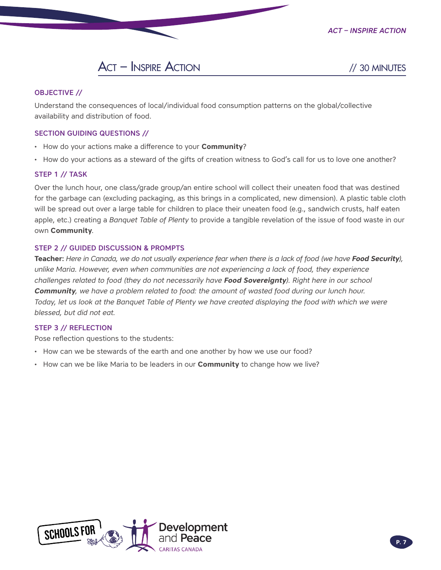*Act – Inspire Action*



#### OBJECTIVE //

Understand the consequences of local/individual food consumption patterns on the global/collective availability and distribution of food.

#### SECTION GUIDING QUESTIONS //

- How do your actions make a difference to your **Community**?
- How do your actions as a steward of the gifts of creation witness to God's call for us to love one another?

#### STEP 1 // TASK

Over the lunch hour, one class/grade group/an entire school will collect their uneaten food that was destined for the garbage can (excluding packaging, as this brings in a complicated, new dimension). A plastic table cloth will be spread out over a large table for children to place their uneaten food (e.g., sandwich crusts, half eaten apple, etc.) creating a *Banquet Table of Plenty* to provide a tangible revelation of the issue of food waste in our own **Community**.

#### STEP 2 // GUIDED DISCUSSION & PROMPTS

**Teacher:** Here in Canada, we do not usually experience fear when there is a lack of food (we have **Food Security**), *unlike Maria. However, even when communities are not experiencing a lack of food, they experience challenges related to food (they do not necessarily have Food Sovereignty). Right here in our school Community, we have a problem related to food: the amount of wasted food during our lunch hour. Today, let us look at the Banquet Table of Plenty we have created displaying the food with which we were blessed, but did not eat.*

#### STEP 3 // REFLECTION

Pose reflection questions to the students:

- How can we be stewards of the earth and one another by how we use our food?
- How can we be like Maria to be leaders in our **Community** to change how we live?

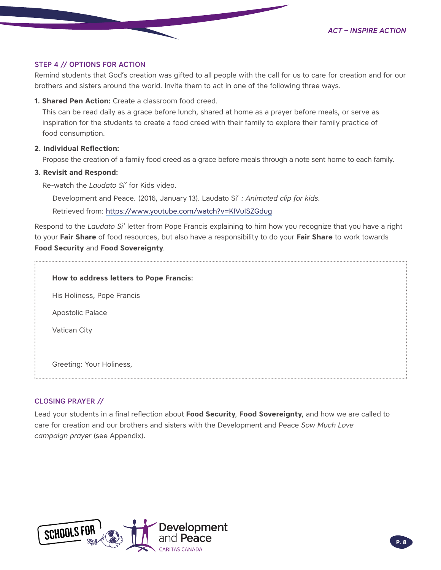*Act – Inspire Action*

#### STEP 4 // OPTIONS FOR ACTION

Remind students that God's creation was gifted to all people with the call for us to care for creation and for our brothers and sisters around the world. Invite them to act in one of the following three ways.

**1. Shared Pen Action:** Create a classroom food creed.

This can be read daily as a grace before lunch, shared at home as a prayer before meals, or serve as inspiration for the students to create a food creed with their family to explore their family practice of food consumption.

#### **2. Individual Reflection:**

Propose the creation of a family food creed as a grace before meals through a note sent home to each family.

#### **3. Revisit and Respond:**

Re-watch the *Laudato Si'* for Kids video.

Development and Peace. (2016, January 13). Laudato Si' *: Animated clip for kids.*

Retrieved from:<https://www.youtube.com/watch?v=KIVuISZGdug>

Respond to the *Laudato Si'* letter from Pope Francis explaining to him how you recognize that you have a right to your **Fair Share** of food resources, but also have a responsibility to do your **Fair Share** to work towards **Food Security** and **Food Sovereignty**.

#### **How to address letters to Pope Francis:**

His Holiness, Pope Francis

Apostolic Palace

Vatican City

Greeting: Your Holiness,

#### CLOSING PRAYER //

Lead your students in a final reflection about **Food Security**, **Food Sovereignty**, and how we are called to care for creation and our brothers and sisters with the Development and Peace *Sow Much Love campaign prayer* (see Appendix).

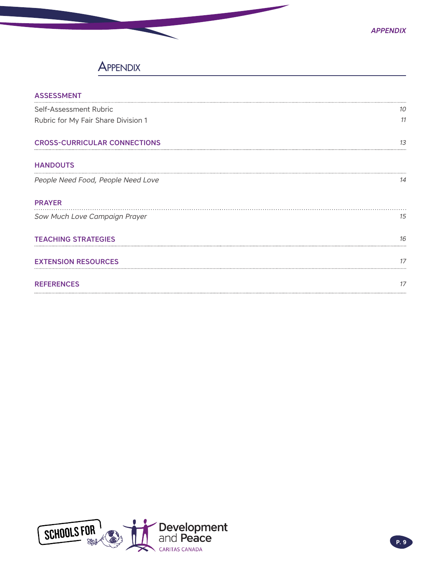### **APPENDIX**

| <b>ASSESSMENT</b>                   |    |
|-------------------------------------|----|
| Self-Assessment Rubric              | 10 |
| Rubric for My Fair Share Division 1 | 11 |
| <b>CROSS-CURRICULAR CONNECTIONS</b> | 13 |
| <b>HANDOUTS</b>                     |    |
| People Need Food, People Need Love  | 14 |
| <b>PRAYER</b>                       |    |
| Sow Much Love Campaign Prayer       | 15 |
| <b>TEACHING STRATEGIES</b>          | 16 |
| <b>EXTENSION RESOURCES</b>          |    |
| <b>REFERENCES</b>                   | 17 |
|                                     |    |

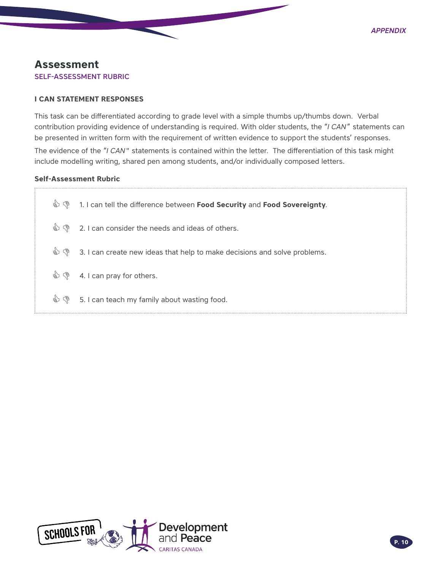### <span id="page-9-0"></span>**Assessment** SELF-ASSESSMENT RUBRIC

#### **I CAN STATEMENT RESPONSES**

This task can be differentiated according to grade level with a simple thumbs up/thumbs down. Verbal contribution providing evidence of understanding is required. With older students, the "*I CAN*" statements can be presented in written form with the requirement of written evidence to support the students' responses. The evidence of the "*I CAN*" statements is contained within the letter. The differentiation of this task might include modelling writing, shared pen among students, and/or individually composed letters.

#### **Self-Assessment Rubric**

| ৻ৠ<br>ತ್ರ     | 1. I can tell the difference between Food Security and Food Sovereignty.  |
|---------------|---------------------------------------------------------------------------|
| $\mathcal{O}$ | 2. I can consider the needs and ideas of others.                          |
| もや            | 3. I can create new ideas that help to make decisions and solve problems. |
|               | S (§ 4. I can pray for others.                                            |
|               | S. I can teach my family about wasting food.                              |

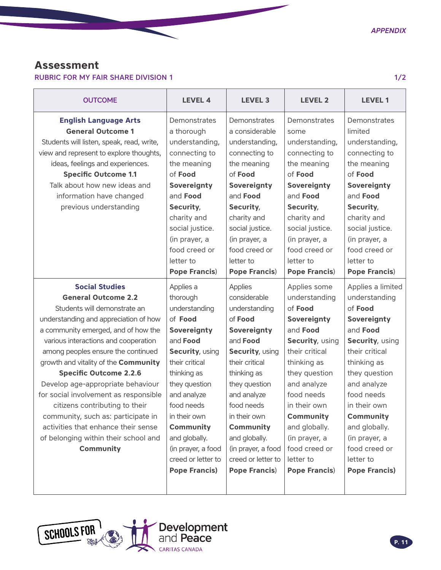### <span id="page-10-0"></span>**Assessment**

RUBRIC FOR MY FAIR SHARE DIVISION 1 1/2

| <b>OUTCOME</b>                                                                                                                                                                                                                                                                                            | <b>LEVEL 4</b>                                                                                                                                                                                                   | <b>LEVEL 3</b>                                                                                                                                                                                                       | <b>LEVEL 2</b>                                                                                                                                                                                             | <b>LEVEL 1</b>                                                                                                                                                                                                |
|-----------------------------------------------------------------------------------------------------------------------------------------------------------------------------------------------------------------------------------------------------------------------------------------------------------|------------------------------------------------------------------------------------------------------------------------------------------------------------------------------------------------------------------|----------------------------------------------------------------------------------------------------------------------------------------------------------------------------------------------------------------------|------------------------------------------------------------------------------------------------------------------------------------------------------------------------------------------------------------|---------------------------------------------------------------------------------------------------------------------------------------------------------------------------------------------------------------|
| <b>English Language Arts</b><br><b>General Outcome 1</b><br>Students will listen, speak, read, write,<br>view and represent to explore thoughts,<br>ideas, feelings and experiences.<br><b>Specific Outcome 1.1</b><br>Talk about how new ideas and<br>information have changed<br>previous understanding | Demonstrates<br>a thorough<br>understanding,<br>connecting to<br>the meaning<br>of Food<br>Sovereignty<br>and Food<br>Security,<br>charity and<br>social justice.<br>(in prayer, a<br>food creed or<br>letter to | Demonstrates<br>a considerable<br>understanding,<br>connecting to<br>the meaning<br>of Food<br>Sovereignty<br>and Food<br>Security,<br>charity and<br>social justice.<br>(in prayer, a<br>food creed or<br>letter to | Demonstrates<br>some<br>understanding,<br>connecting to<br>the meaning<br>of Food<br>Sovereignty<br>and Food<br>Security,<br>charity and<br>social justice.<br>(in prayer, a<br>food creed or<br>letter to | Demonstrates<br>limited<br>understanding,<br>connecting to<br>the meaning<br>of Food<br>Sovereignty<br>and Food<br>Security,<br>charity and<br>social justice.<br>(in prayer, a<br>food creed or<br>letter to |
|                                                                                                                                                                                                                                                                                                           | <b>Pope Francis)</b>                                                                                                                                                                                             | <b>Pope Francis)</b>                                                                                                                                                                                                 | <b>Pope Francis)</b>                                                                                                                                                                                       | <b>Pope Francis)</b>                                                                                                                                                                                          |
| <b>Social Studies</b>                                                                                                                                                                                                                                                                                     | Applies a                                                                                                                                                                                                        | <b>Applies</b>                                                                                                                                                                                                       | Applies some                                                                                                                                                                                               | Applies a limited                                                                                                                                                                                             |
| <b>General Outcome 2.2</b>                                                                                                                                                                                                                                                                                | thorough                                                                                                                                                                                                         | considerable                                                                                                                                                                                                         | understanding                                                                                                                                                                                              | understanding                                                                                                                                                                                                 |
| Students will demonstrate an                                                                                                                                                                                                                                                                              | understanding                                                                                                                                                                                                    | understanding                                                                                                                                                                                                        | of Food                                                                                                                                                                                                    | of Food                                                                                                                                                                                                       |
| understanding and appreciation of how                                                                                                                                                                                                                                                                     | of Food                                                                                                                                                                                                          | of Food                                                                                                                                                                                                              | Sovereignty                                                                                                                                                                                                | Sovereignty                                                                                                                                                                                                   |
| a community emerged, and of how the                                                                                                                                                                                                                                                                       | Sovereignty                                                                                                                                                                                                      | Sovereignty                                                                                                                                                                                                          | and Food                                                                                                                                                                                                   | and <b>Food</b>                                                                                                                                                                                               |
| various interactions and cooperation                                                                                                                                                                                                                                                                      | and <b>Food</b>                                                                                                                                                                                                  | and <b>Food</b>                                                                                                                                                                                                      | Security, using                                                                                                                                                                                            | Security, using                                                                                                                                                                                               |
| among peoples ensure the continued                                                                                                                                                                                                                                                                        | Security, using                                                                                                                                                                                                  | Security, using                                                                                                                                                                                                      | their critical                                                                                                                                                                                             | their critical                                                                                                                                                                                                |
| growth and vitality of the Community                                                                                                                                                                                                                                                                      | their critical                                                                                                                                                                                                   | their critical                                                                                                                                                                                                       | thinking as                                                                                                                                                                                                | thinking as                                                                                                                                                                                                   |
| <b>Specific Outcome 2.2.6</b>                                                                                                                                                                                                                                                                             | thinking as                                                                                                                                                                                                      | thinking as                                                                                                                                                                                                          | they question                                                                                                                                                                                              | they question                                                                                                                                                                                                 |
| Develop age-appropriate behaviour                                                                                                                                                                                                                                                                         | they question                                                                                                                                                                                                    | they question                                                                                                                                                                                                        | and analyze                                                                                                                                                                                                | and analyze                                                                                                                                                                                                   |
| for social involvement as responsible                                                                                                                                                                                                                                                                     | and analyze                                                                                                                                                                                                      | and analyze                                                                                                                                                                                                          | food needs                                                                                                                                                                                                 | food needs                                                                                                                                                                                                    |
| citizens contributing to their                                                                                                                                                                                                                                                                            | food needs                                                                                                                                                                                                       | food needs                                                                                                                                                                                                           | in their own                                                                                                                                                                                               | in their own                                                                                                                                                                                                  |
| community, such as: participate in                                                                                                                                                                                                                                                                        | in their own                                                                                                                                                                                                     | in their own                                                                                                                                                                                                         | Community                                                                                                                                                                                                  | Community                                                                                                                                                                                                     |
| activities that enhance their sense                                                                                                                                                                                                                                                                       | Community                                                                                                                                                                                                        | Community                                                                                                                                                                                                            | and globally.                                                                                                                                                                                              | and globally.                                                                                                                                                                                                 |
| of belonging within their school and                                                                                                                                                                                                                                                                      | and globally.                                                                                                                                                                                                    | and globally.                                                                                                                                                                                                        | (in prayer, a                                                                                                                                                                                              | (in prayer, a                                                                                                                                                                                                 |
| Community                                                                                                                                                                                                                                                                                                 | (in prayer, a food                                                                                                                                                                                               | (in prayer, a food                                                                                                                                                                                                   | food creed or                                                                                                                                                                                              | food creed or                                                                                                                                                                                                 |
|                                                                                                                                                                                                                                                                                                           | creed or letter to                                                                                                                                                                                               | creed or letter to                                                                                                                                                                                                   | letter to                                                                                                                                                                                                  | letter to                                                                                                                                                                                                     |
|                                                                                                                                                                                                                                                                                                           | <b>Pope Francis)</b>                                                                                                                                                                                             | <b>Pope Francis)</b>                                                                                                                                                                                                 | <b>Pope Francis)</b>                                                                                                                                                                                       | <b>Pope Francis)</b>                                                                                                                                                                                          |

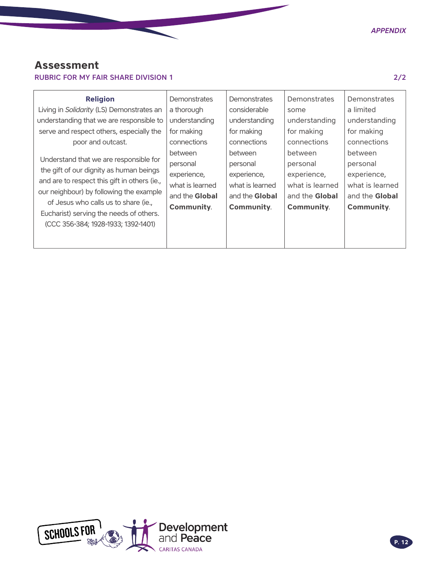### **Assessment**

### RUBRIC FOR MY FAIR SHARE DIVISION 1 2/2

| <b>Religion</b><br>Living in Solidarity (LS) Demonstrates an<br>understanding that we are responsible to<br>serve and respect others, especially the<br>poor and outcast.<br>Understand that we are responsible for<br>the gift of our dignity as human beings<br>and are to respect this gift in others (ie.,<br>our neighbour) by following the example<br>of Jesus who calls us to share (ie.,<br>Eucharist) serving the needs of others.<br>(CCC 356-384; 1928-1933; 1392-1401) | Demonstrates<br>a thorough<br>understanding<br>for making<br>connections<br>between<br>personal<br>experience,<br>what is learned<br>and the Global<br><b>Community.</b> | Demonstrates<br>considerable<br>understanding<br>for making<br>connections<br>between<br>personal<br>experience,<br>what is learned<br>and the <b>Global</b><br><b>Community.</b> | <b>Demonstrates</b><br>some<br>understanding<br>for making<br>connections<br>between<br>personal<br>experience,<br>what is learned<br>and the Global<br>Community. | <b>Demonstrates</b><br>a limited<br>understanding<br>for making<br>connections<br>between<br>personal<br>experience,<br>what is learned<br>and the <b>Global</b><br><b>Community.</b> |
|-------------------------------------------------------------------------------------------------------------------------------------------------------------------------------------------------------------------------------------------------------------------------------------------------------------------------------------------------------------------------------------------------------------------------------------------------------------------------------------|--------------------------------------------------------------------------------------------------------------------------------------------------------------------------|-----------------------------------------------------------------------------------------------------------------------------------------------------------------------------------|--------------------------------------------------------------------------------------------------------------------------------------------------------------------|---------------------------------------------------------------------------------------------------------------------------------------------------------------------------------------|
|-------------------------------------------------------------------------------------------------------------------------------------------------------------------------------------------------------------------------------------------------------------------------------------------------------------------------------------------------------------------------------------------------------------------------------------------------------------------------------------|--------------------------------------------------------------------------------------------------------------------------------------------------------------------------|-----------------------------------------------------------------------------------------------------------------------------------------------------------------------------------|--------------------------------------------------------------------------------------------------------------------------------------------------------------------|---------------------------------------------------------------------------------------------------------------------------------------------------------------------------------------|

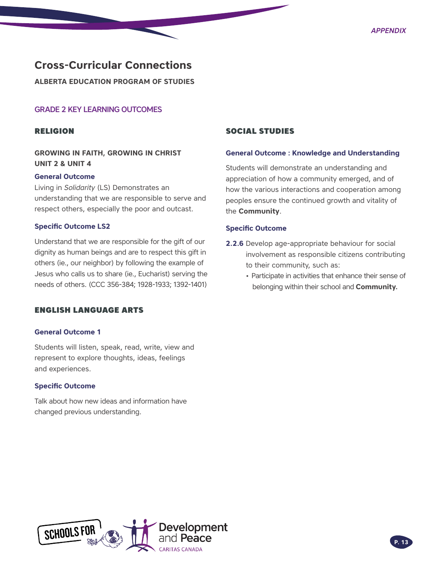### <span id="page-12-0"></span>**Cross-Curricular Connections**

**ALBERTA EDUCATION PROGRAM OF STUDIES** 

#### GRADE 2 KEY LEARNING OUTCOMES

#### RELIGION

#### **GROWING IN FAITH, GROWING IN CHRIST UNIT 2 & UNIT 4**

#### **General Outcome**

Living in *Solidarity* (LS) Demonstrates an understanding that we are responsible to serve and respect others, especially the poor and outcast.

#### **Specific Outcome LS2**

Understand that we are responsible for the gift of our dignity as human beings and are to respect this gift in others (ie., our neighbor) by following the example of Jesus who calls us to share (ie., Eucharist) serving the needs of others. (CCC 356-384; 1928-1933; 1392-1401)

#### ENGLISH LANGUAGE ARTS

#### **General Outcome 1**

Students will listen, speak, read, write, view and represent to explore thoughts, ideas, feelings and experiences.

#### **Specific Outcome**

Talk about how new ideas and information have changed previous understanding.

#### SOCIAL STUDIES

#### **General Outcome : Knowledge and Understanding**

Students will demonstrate an understanding and appreciation of how a community emerged, and of how the various interactions and cooperation among peoples ensure the continued growth and vitality of the **Community**.

#### **Specific Outcome**

- **2.2.6** Develop age-appropriate behaviour for social involvement as responsible citizens contributing to their community, such as:
	- Participate in activities that enhance their sense of belonging within their school and **Community.**

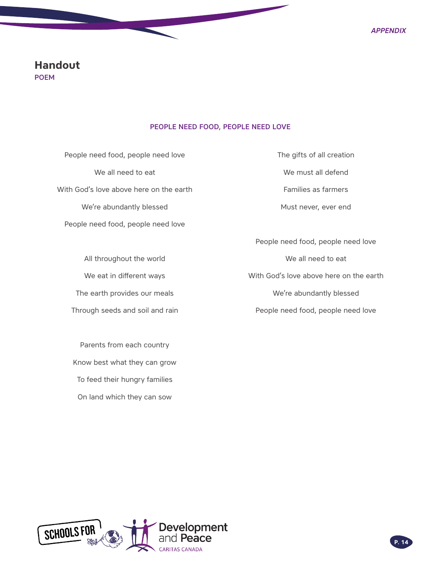### <span id="page-13-0"></span>**Handout** POEM

#### PEOPLE NEED FOOD, PEOPLE NEED LOVE

People need food, people need love We all need to eat With God's love above here on the earth We're abundantly blessed People need food, people need love

All throughout the world We eat in different ways The earth provides our meals Through seeds and soil and rain

Parents from each country Know best what they can grow To feed their hungry families On land which they can sow

The gifts of all creation We must all defend Families as farmers Must never, ever end

People need food, people need love We all need to eat With God's love above here on the earth We're abundantly blessed People need food, people need love

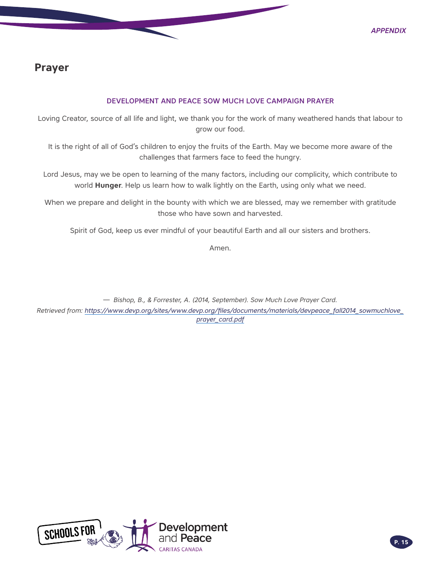### <span id="page-14-0"></span>**Prayer**

#### DEVELOPMENT AND PEACE SOW MUCH LOVE CAMPAIGN PRAYER

Loving Creator, source of all life and light, we thank you for the work of many weathered hands that labour to grow our food.

It is the right of all of God's children to enjoy the fruits of the Earth. May we become more aware of the challenges that farmers face to feed the hungry.

Lord Jesus, may we be open to learning of the many factors, including our complicity, which contribute to world **Hunger**. Help us learn how to walk lightly on the Earth, using only what we need.

When we prepare and delight in the bounty with which we are blessed, may we remember with gratitude those who have sown and harvested.

Spirit of God, keep us ever mindful of your beautiful Earth and all our sisters and brothers.

Amen.

— *Bishop, B., & Forrester, A. (2014, September). Sow Much Love Prayer Card. Retrieved from: [https://www.devp.org/sites/www.devp.org/files/documents/materials/devpeace\\_fall2014\\_sowmuchlove\\_](https://www.devp.org/sites/www.devp.org/files/documents/materials/devpeace_fall2014_sowmuchlove_pray) [prayer\\_card.pdf](https://www.devp.org/sites/www.devp.org/files/documents/materials/devpeace_fall2014_sowmuchlove_pray)*

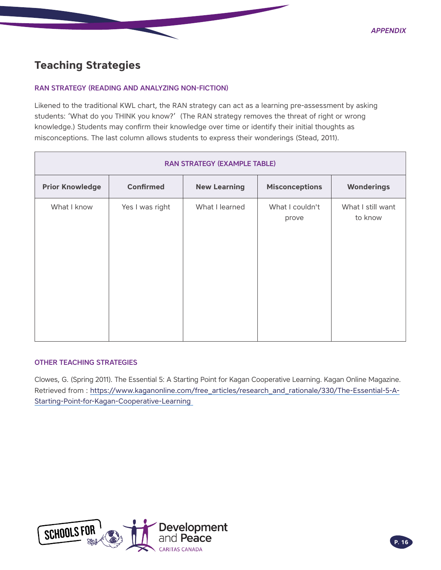### <span id="page-15-0"></span>**Teaching Strategies**

#### RAN STRATEGY (READING AND ANALYZING NON-FICTION)

Likened to the traditional KWL chart, the RAN strategy can act as a learning pre-assessment by asking students: 'What do you THINK you know?' (The RAN strategy removes the threat of right or wrong knowledge.) Students may confirm their knowledge over time or identify their initial thoughts as misconceptions. The last column allows students to express their wonderings (Stead, 2011).

| <b>RAN STRATEGY (EXAMPLE TABLE)</b> |                  |                     |                          |                              |  |
|-------------------------------------|------------------|---------------------|--------------------------|------------------------------|--|
| <b>Prior Knowledge</b>              | <b>Confirmed</b> | <b>New Learning</b> | <b>Misconceptions</b>    | <b>Wonderings</b>            |  |
| What I know                         | Yes I was right  | What I learned      | What I couldn't<br>prove | What I still want<br>to know |  |

#### OTHER TEACHING STRATEGIES

Clowes, G. (Spring 2011). The Essential 5: A Starting Point for Kagan Cooperative Learning. Kagan Online Magazine. Retrieved from : [https://www.kaganonline.com/free\\_articles/research\\_and\\_rationale/330/The-Essential-5-A-](https://www.kaganonline.com/free_articles/research_and_rationale/330/The-Essential-5-A-Starting-Poin)[Starting-Point-for-Kagan-Cooperative-Learning](https://www.kaganonline.com/free_articles/research_and_rationale/330/The-Essential-5-A-Starting-Poin)